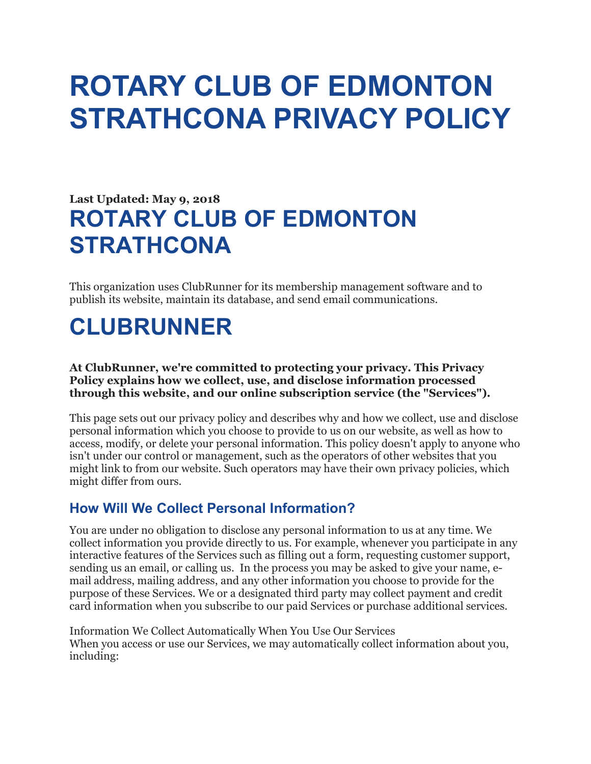# ROTARY CLUB OF EDMONTON STRATHCONA PRIVACY POLICY

# Last Updated: May 9, 2018 ROTARY CLUB OF EDMONTON STRATHCONA

This organization uses ClubRunner for its membership management software and to publish its website, maintain its database, and send email communications.

# CLUBRUNNER

At ClubRunner, we're committed to protecting your privacy. This Privacy Policy explains how we collect, use, and disclose information processed through this website, and our online subscription service (the "Services").

This page sets out our privacy policy and describes why and how we collect, use and disclose personal information which you choose to provide to us on our website, as well as how to access, modify, or delete your personal information. This policy doesn't apply to anyone who isn't under our control or management, such as the operators of other websites that you might link to from our website. Such operators may have their own privacy policies, which might differ from ours.

#### How Will We Collect Personal Information?

You are under no obligation to disclose any personal information to us at any time. We collect information you provide directly to us. For example, whenever you participate in any interactive features of the Services such as filling out a form, requesting customer support, sending us an email, or calling us. In the process you may be asked to give your name, email address, mailing address, and any other information you choose to provide for the purpose of these Services. We or a designated third party may collect payment and credit card information when you subscribe to our paid Services or purchase additional services.

Information We Collect Automatically When You Use Our Services When you access or use our Services, we may automatically collect information about you, including: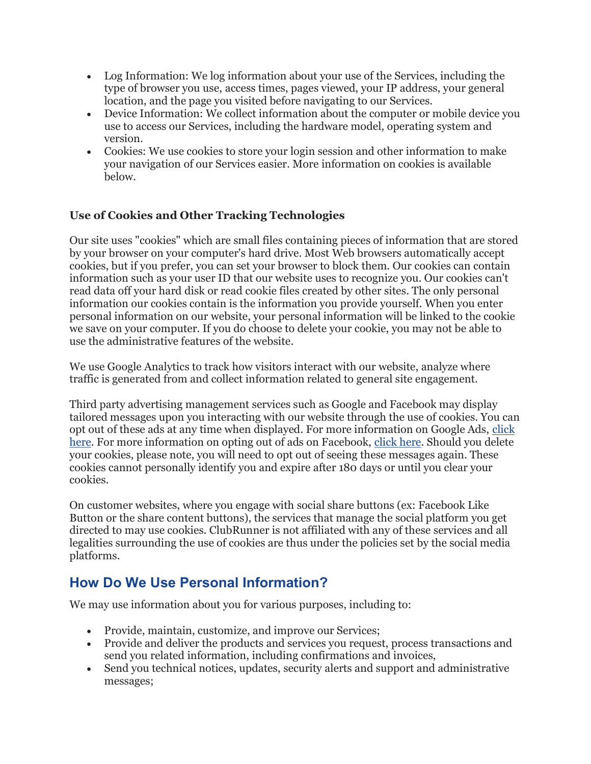- Log Information: We log information about your use of the Services, including the type of browser you use, access times, pages viewed, your IP address, your general location, and the page you visited before navigating to our Services.
- Device Information: We collect information about the computer or mobile device you use to access our Services, including the hardware model, operating system and version.
- Cookies: We use cookies to store your login session and other information to make your navigation of our Services easier. More information on cookies is available below.

#### Use of Cookies and Other Tracking Technologies

Our site uses "cookies" which are small files containing pieces of information that are stored by your browser on your computer's hard drive. Most Web browsers automatically accept cookies, but if you prefer, you can set your browser to block them. Our cookies can contain information such as your user ID that our website uses to recognize you. Our cookies can't read data off your hard disk or read cookie files created by other sites. The only personal information our cookies contain is the information you provide yourself. When you enter personal information on our website, your personal information will be linked to the cookie we save on your computer. If you do choose to delete your cookie, you may not be able to use the administrative features of the website.

We use Google Analytics to track how visitors interact with our website, analyze where traffic is generated from and collect information related to general site engagement.

Third party advertising management services such as Google and Facebook may display tailored messages upon you interacting with our website through the use of cookies. You can opt out of these ads at any time when displayed. For more information on Google Ads, click here. For more information on opting out of ads on Facebook, click here. Should you delete your cookies, please note, you will need to opt out of seeing these messages again. These cookies cannot personally identify you and expire after 180 days or until you clear your cookies.

On customer websites, where you engage with social share buttons (ex: Facebook Like Button or the share content buttons), the services that manage the social platform you get directed to may use cookies. ClubRunner is not affiliated with any of these services and all legalities surrounding the use of cookies are thus under the policies set by the social media platforms.

## How Do We Use Personal Information?

We may use information about you for various purposes, including to:

- Provide, maintain, customize, and improve our Services;
- Provide and deliver the products and services you request, process transactions and send you related information, including confirmations and invoices,
- Send you technical notices, updates, security alerts and support and administrative messages;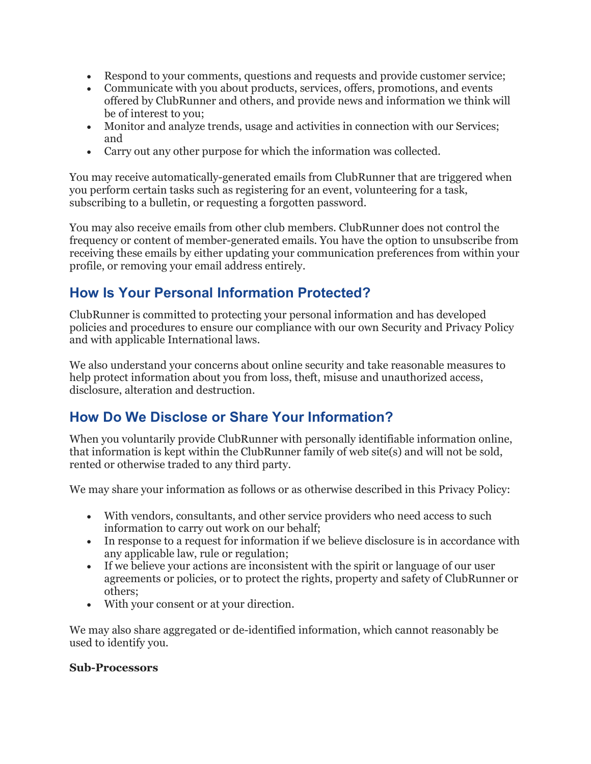- Respond to your comments, questions and requests and provide customer service;
- Communicate with you about products, services, offers, promotions, and events offered by ClubRunner and others, and provide news and information we think will be of interest to you;
- Monitor and analyze trends, usage and activities in connection with our Services; and
- Carry out any other purpose for which the information was collected.

You may receive automatically-generated emails from ClubRunner that are triggered when you perform certain tasks such as registering for an event, volunteering for a task, subscribing to a bulletin, or requesting a forgotten password.

You may also receive emails from other club members. ClubRunner does not control the frequency or content of member-generated emails. You have the option to unsubscribe from receiving these emails by either updating your communication preferences from within your profile, or removing your email address entirely.

#### How Is Your Personal Information Protected?

ClubRunner is committed to protecting your personal information and has developed policies and procedures to ensure our compliance with our own Security and Privacy Policy and with applicable International laws.

We also understand your concerns about online security and take reasonable measures to help protect information about you from loss, theft, misuse and unauthorized access, disclosure, alteration and destruction.

#### How Do We Disclose or Share Your Information?

When you voluntarily provide ClubRunner with personally identifiable information online, that information is kept within the ClubRunner family of web site(s) and will not be sold, rented or otherwise traded to any third party.

We may share your information as follows or as otherwise described in this Privacy Policy:

- With vendors, consultants, and other service providers who need access to such information to carry out work on our behalf;
- In response to a request for information if we believe disclosure is in accordance with any applicable law, rule or regulation;
- If we believe your actions are inconsistent with the spirit or language of our user agreements or policies, or to protect the rights, property and safety of ClubRunner or others;
- With your consent or at your direction.

We may also share aggregated or de-identified information, which cannot reasonably be used to identify you.

#### Sub-Processors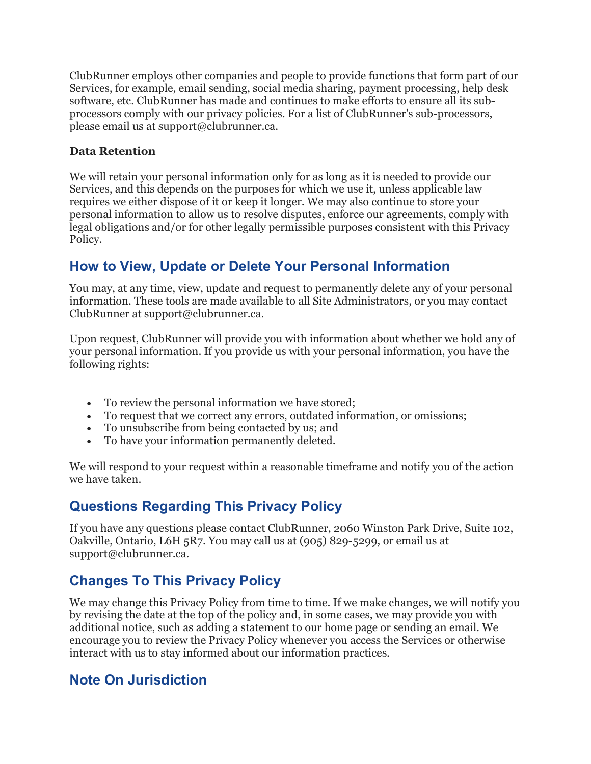ClubRunner employs other companies and people to provide functions that form part of our Services, for example, email sending, social media sharing, payment processing, help desk software, etc. ClubRunner has made and continues to make efforts to ensure all its subprocessors comply with our privacy policies. For a list of ClubRunner's sub-processors, please email us at support@clubrunner.ca.

#### Data Retention

We will retain your personal information only for as long as it is needed to provide our Services, and this depends on the purposes for which we use it, unless applicable law requires we either dispose of it or keep it longer. We may also continue to store your personal information to allow us to resolve disputes, enforce our agreements, comply with legal obligations and/or for other legally permissible purposes consistent with this Privacy Policy.

### How to View, Update or Delete Your Personal Information

You may, at any time, view, update and request to permanently delete any of your personal information. These tools are made available to all Site Administrators, or you may contact ClubRunner at support@clubrunner.ca.

Upon request, ClubRunner will provide you with information about whether we hold any of your personal information. If you provide us with your personal information, you have the following rights:

- To review the personal information we have stored;
- To request that we correct any errors, outdated information, or omissions;
- To unsubscribe from being contacted by us; and
- To have your information permanently deleted.

We will respond to your request within a reasonable timeframe and notify you of the action we have taken.

#### Questions Regarding This Privacy Policy

If you have any questions please contact ClubRunner, 2060 Winston Park Drive, Suite 102, Oakville, Ontario, L6H 5R7. You may call us at (905) 829-5299, or email us at support@clubrunner.ca.

## Changes To This Privacy Policy

We may change this Privacy Policy from time to time. If we make changes, we will notify you by revising the date at the top of the policy and, in some cases, we may provide you with additional notice, such as adding a statement to our home page or sending an email. We encourage you to review the Privacy Policy whenever you access the Services or otherwise interact with us to stay informed about our information practices.

#### Note On Jurisdiction